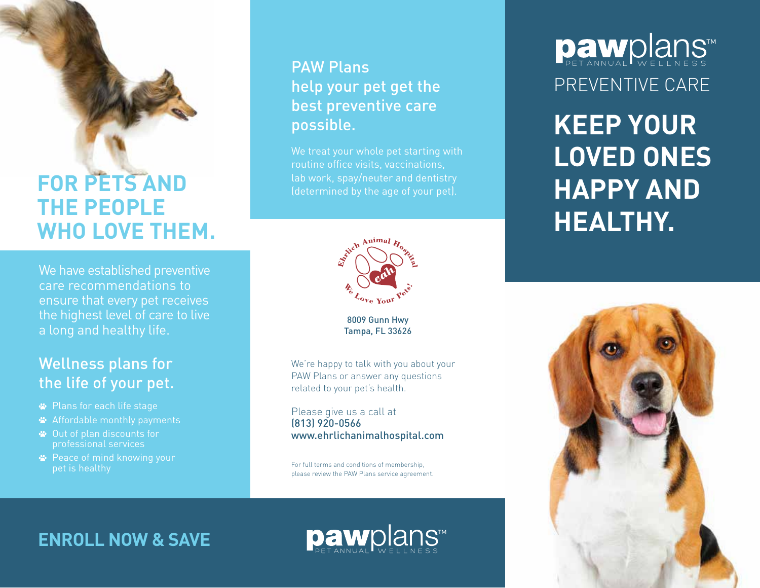## **FOR PETS AND THE PEOPLE WHO LOVE THEM.**

We have established preventive care recommendations to ensure that every pet receives the highest level of care to live a long and healthy life.

#### Wellness plans for the life of your pet.

- Plans for each life stage
- Affordable monthly payments
- Out of plan discounts for professional services
- **<sup>■</sup>** Peace of mind knowing your pet is healthy

#### PAW Plans help your pet get the best preventive care possible.

We treat your whole pet starting with routine office visits, vaccinations, lab work, spay/neuter and dentistry (determined by the age of your pet).



8009 Gunn Hwy Tampa, FL 33626

We're happy to talk with you about your PAW Plans or answer any questions related to your pet's health.

Please give us a call at (813) 920-0566 www.ehrlichanimalhospital.com

For full terms and conditions of membership, please review the PAW Plans service agreement.

# Dawplans PREVENTIVE CARE

**KEEP YOUR LOVED ONES HAPPY AND HEALTHY.**



#### **ENROLL NOW & SAVE**